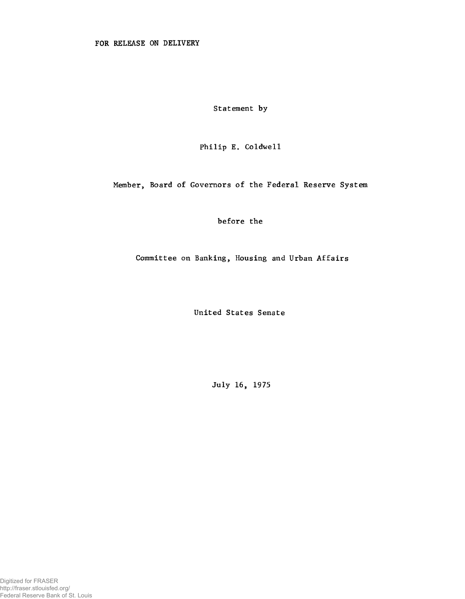**Statement by**

**Philip E. Coldwell**

**Member, Board of Governors of the Federal Reserve System**

**before the**

**Committee on Banking, Housing and Urban Affairs**

**United States Senate**

**July 16, 1975**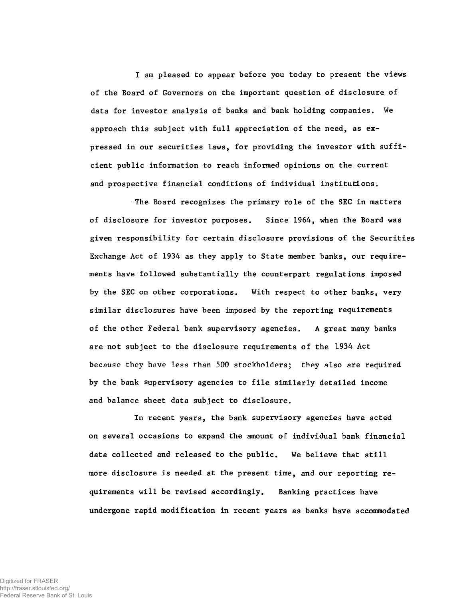**I am pleased to appear before you today to present the views of the Board of Governors on the important question of disclosure of data for investor analysis of banks and bank holding companies. We approach this subject with full appreciation of the need, as expressed in our securities laws, for providing the investor with sufficient public information to reach informed opinions on the current and prospective financial conditions of individual institutions.**

**The Board recognizes the primary role of the SEC in matters of disclosure for investor purposes. Since 1964, when the Board was given responsibility for certain disclosure provisions of the Securities Exchange Act of 1934 as they apply to State member banks, our requirements have followed substantially the counterpart regulations imposed by the SEC on other corporations. With respect to other banks, very similar disclosures have been imposed by the reporting requirements of the other Federal bank supervisory agencies. A great many banks are not subject to the disclosure requirements of the 1934 Act** because they have less than 500 stockholders; they also are required **by the bank supervisory agencies to file similarly detailed income and balance sheet data subject to disclosure.**

**In recent years, the bank supervisory agencies have acted on several occasions to expand the amount of individual bank financial data collected and released to the public. We believe that still more disclosure is needed at the present time, and our reporting requirements will be revised accordingly. Banking practices have undergone rapid modification in recent years as banks have accommodated**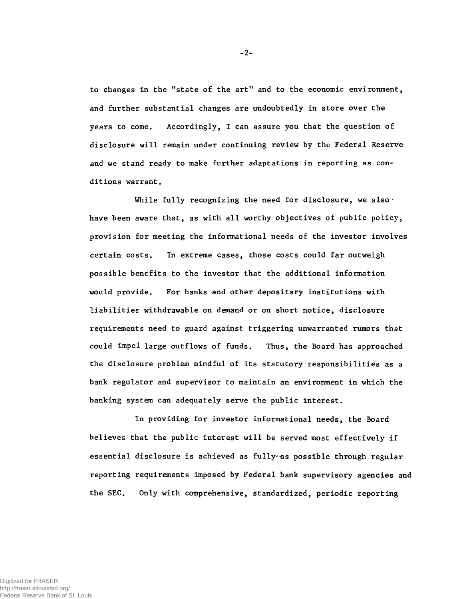**to changes in the "state of the art" and to the economic environment, and further substantial changes are undoubtedly in store over the years to come. Accordingly, I can assure you that the question of disclosure will remain under continuing review by the Federal Reserve and we stand ready to make further adaptations in reporting as conditions warrant.**

**While fully recognizing the need for disclosure, we also have been aware that, as with all worthy objectives of public policy, provision for meeting the informational needs of the investor involves certain costs. In extreme cases, those costs could far outweigh possible benefits to the investor that the additional information would provide. For banks and other depositary institutions with liabilities withdrawable on demand or on short notice, disclosure requirements need to guard against triggering unwarranted rumors that could impel large outflows of funds. Thus, the Board has approached the disclosure problem mindful of its statutory responsibilities as a bank regulator and supervisor to maintain an environment in which the banking system can adequately serve the public interest.**

**In providing for investor informational needs, the Board believes that the public interest will be served most effectively if** essential disclosure is achieved as fully<sup>,</sup> as possible through regular **reporting requirements imposed by Federal bank supervisory agencies and the SEC. Only with comprehensive, standardized, periodic reporting**

-2-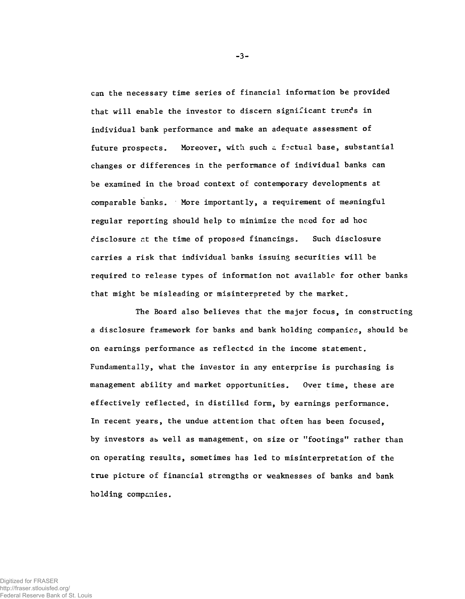**can the necessary time series of financial information be provided that will enable the investor to discern significant trends in individual bank performance and make an adequate assessment of future prospects. Moreover, with such a f?ctual base, substantial changes or differences in the performance of individual banks can be examined in the broad context of contemporary developments at comparable banks. More importantly, a requirement of meaningful regular reporting should help to minimize the need for ad hoc disclosure r.t the time of proposed financings. Such disclosure carries a risk that individual banks issuing securities will be required to release types of information not available for other banks that might be misleading or misinterpreted by the market.**

**The Board also believes that the major focus, in constructing a disclosure framework for banks and bank holding companies, should be on earnings performance as reflected in the income statement. Fundamentally, what the investor in any enterprise is purchasing is management ability and market opportunities. Over time, these are effectively reflected, in distilled form, by earnings performance. In recent years, the undue attention that often has been focused, by investors as well as management, on size or "footings" rather than on operating results, sometimes has led to misinterpretation of the true picture of financial strengths or weaknesses of banks and bank holding companies.**

-3-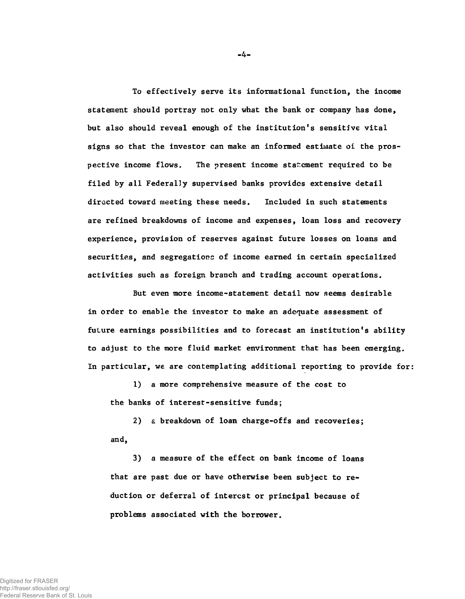**To effectively serve its informational function, the income statement should portray not only what the bank or company has done, but also should reveal enough of the institution's sensitive vital signs so that the investor can make an informed estimate oi the prospective income flows. The present income statement required to be filed by all Federally supervised banks provides extensive detail directed toward meeting these needs. Included in such statements are refined breakdowns of income and expenses, loan loss and recovery experience, provision of reserves against future losses on loans and securities, and segregations of income earned in certain specialized activities such as foreign branch and trading account operations.**

**But even more income-statement detail now seems desirable in order to enable the investor to make an adequate assessment of future earnings possibilities and to forecast an institution's ability to adjust to the more fluid market environment that has been emerging. In particular, we are contemplating additional reporting to provide for:**

**1) a more comprehensive measure of the cost to the banks of interest-sensitive funds;**

**2) £ breakdown of loan charge-offs and recoveries; and,**

**3) a measure of the effect on bank income of loans that are past due or have otherwise been subject to reduction or deferral of interest or principal because of problems associated with the borrower.**

**-** 4 **-**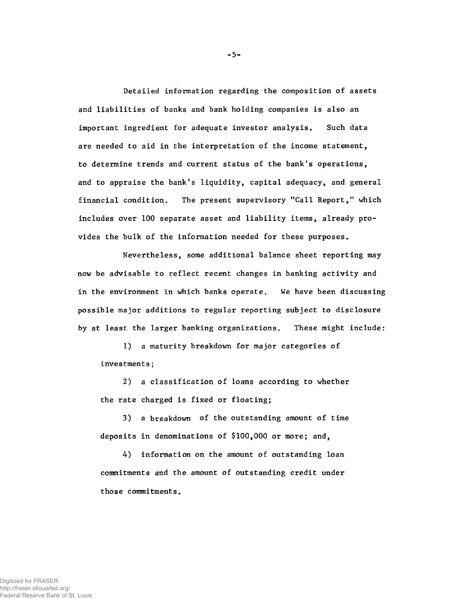**Detailed information regarding the composition of assets and liabilities of banks and bank holding companies is also an important ingredient for adequate investor analysis. Such data are needed to aid in the interpretation of the income statement, to determine trends and current status of the bank's operations, and to appraise the bank's liquidity, capital adequacy, and general financial condition. The present supervisory "Call Report," which includes over 100 separate asset and liability items, already provides the bulk of the information needed for these purposes.**

**Nevertheless, some additional balance sheet reporting may now be advisable to reflect recent changes in banking activity and in the environment in which banks operate. We have been discussing possible major additions to regular reporting subject to disclosure by at least the larger banking organizations. These might include:**

**1) a maturity breakdown for major categories of investments;**

**2) a classification of loans according to whether the rate charged is fixed or floating;**

**3) a breakdown of the outstanding amount of time deposits in denominations of \$100,000 or more; and,**

**4) information on the amount of outstanding loan commitments and the amount of outstanding credit under those commitments.**

-5-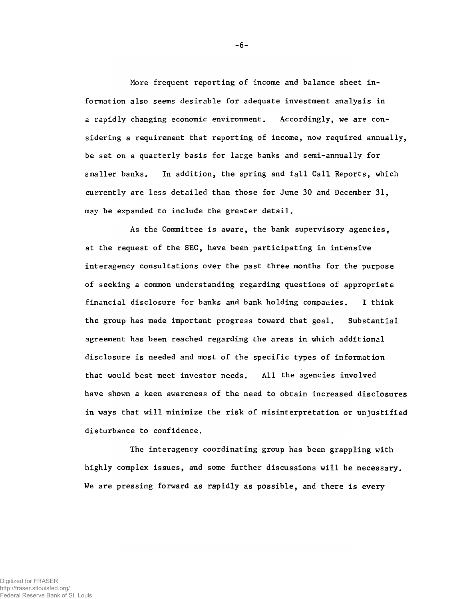**More frequent reporting of income and balance sheet information also seems desirable for adequate investment analysis in a rapidly changing economic environment. Accordingly, we are considering a requirement that reporting of income, now required annually, be set on a quarterly basis for large banks and semi-annually for smaller banks. In addition, the spring and fall Call Reports, which currently are less detailed than those for June 30 and December 31, may be expanded to include the greater detail.**

**As the Committee is aware, the bank supervisory agencies, at the request of the SEC, have been participating in intensive interagency consultations over the past three months for the purpose of seeking a common understanding regarding questions of appropriate financial disclosure for banks and bank holding companies. I think the group has made important progress toward that goal. Substantial agreement has been reached regarding the areas in which additional disclosure is needed and most of the specific types of information that would best meet investor needs. All the agencies involved have shown a keen awareness of the need to obtain increased disclosures in ways that will minimize the risk of misinterpretation or unjustified disturbance to confidence.**

**The interagency coordinating group has been grappling with highly complex issues, and some further discussions will be necessary. We are pressing forward as rapidly as possible, and there is every**

-6-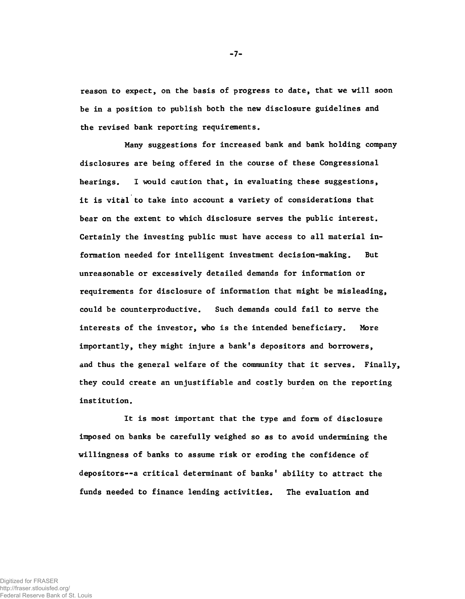**reason to expect, on the basis of progress to date, that we will soon be in a position to publish both the new disclosure guidelines and the revised bank reporting requirements.**

**Many suggestions for increased bank and bank holding company disclosures are being offered in the course of these Congressional hearings. I would caution that, in evaluating these suggestions, it is vital to take into account a variety of considerations that bear on the extent to which disclosure serves the public interest. Certainly the investing public must have access to all material information needed for intelligent investment decision-making. But unreasonable or excessively detailed demands for information or requirements for disclosure of information that might be misleading, could be counterproductive. Such demands could fail to serve the interests of the investor, who is the intended beneficiary. More importantly, they might injure a bank's depositors and borrowers, and thus the general welfare of the community that it serves. Finally, they could create an unjustifiable and costly burden on the reporting institution.**

**It is most important that the type and form of disclosure imposed on banks be carefully weighed so as to avoid undermining the willingness of banks to assume risk or eroding the confidence of depositors--a critical determinant of banks' ability to attract the funds needed to finance lending activities. The evaluation and**

**- 7-**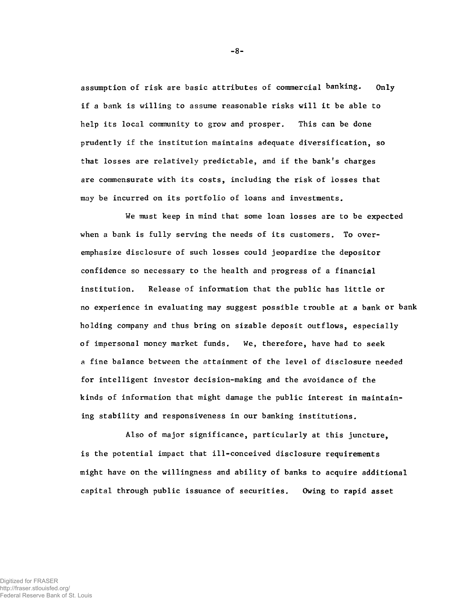**assumption of risk are basic attributes of commercial banking. Only if a bank is willing to assume reasonable risks will it be able to help its local community to grow and prosper. This can be done prudently if the institution maintains adequate diversification, so that losses are relatively predictable, and if the bank's charges are commensurate with its costs, including the risk of losses that may be incurred on its portfolio of loans and investments.**

**We must keep in mind that some loan losses are to be expected when a bank is fully serving the needs of its customers. To overemphasize disclosure of such losses could jeopardize the depositor confidence so necessary to the health and progress of a financial institution. Release of information that the public has little or no experience in evaluating may suggest possible trouble at a bank or bank holding company and thus bring on sizable deposit outflows, especially of impersonal money market funds. We, therefore, have had to seek a fine balance between the attainment of the level of disclosure needed for intelligent investor decision-making and the avoidance of the kinds of information that might damage the public interest in maintaining stability and responsiveness in our banking institutions.**

**Also of major significance, particularly at this juncture, is the potential impact that ill-conceived disclosure requirements might have on the willingness and ability of banks to acquire additional capital through public issuance of securities. Owing to rapid asset**

-8-